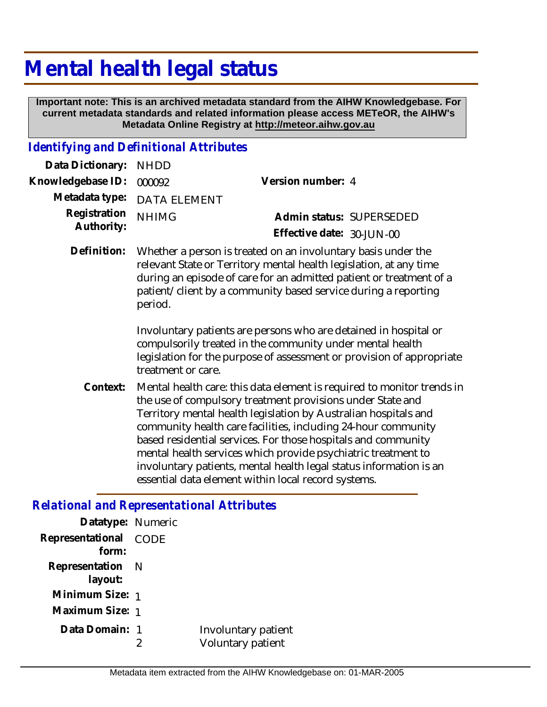## **Mental health legal status**

 **Important note: This is an archived metadata standard from the AIHW Knowledgebase. For current metadata standards and related information please access METeOR, the AIHW's Metadata Online Registry at http://meteor.aihw.gov.au**

## *Identifying and Definitional Attributes*

| Data Dictionary: NHDD    |                                                                           |                           |  |
|--------------------------|---------------------------------------------------------------------------|---------------------------|--|
| Knowledgebase ID: 000092 |                                                                           | Version number: 4         |  |
|                          | Metadata type: DATA ELEMENT                                               |                           |  |
| Registration             | <b>NHIMG</b>                                                              | Admin status: SUPERSEDED  |  |
| Authority:               |                                                                           | Effective date: 30-JUN-00 |  |
|                          | Definition: Whether a person is treated on an involuntary basis under the |                           |  |

relevant State or Territory mental health legislation, at any time during an episode of care for an admitted patient or treatment of a patient/client by a community based service during a reporting period.

> Involuntary patients are persons who are detained in hospital or compulsorily treated in the community under mental health legislation for the purpose of assessment or provision of appropriate treatment or care.

Mental health care: this data element is required to monitor trends in the use of compulsory treatment provisions under State and Territory mental health legislation by Australian hospitals and community health care facilities, including 24-hour community based residential services. For those hospitals and community mental health services which provide psychiatric treatment to involuntary patients, mental health legal status information is an essential data element within local record systems. **Context:**

## *Relational and Representational Attributes*

| Datatype: Numeric              |                                          |
|--------------------------------|------------------------------------------|
| Representational CODE<br>form: |                                          |
| Representation N               |                                          |
| layout:                        |                                          |
| Minimum Size: 1                |                                          |
| Maximum Size: 1                |                                          |
| Data Domain: 1                 | Involuntary patient<br>Voluntary patient |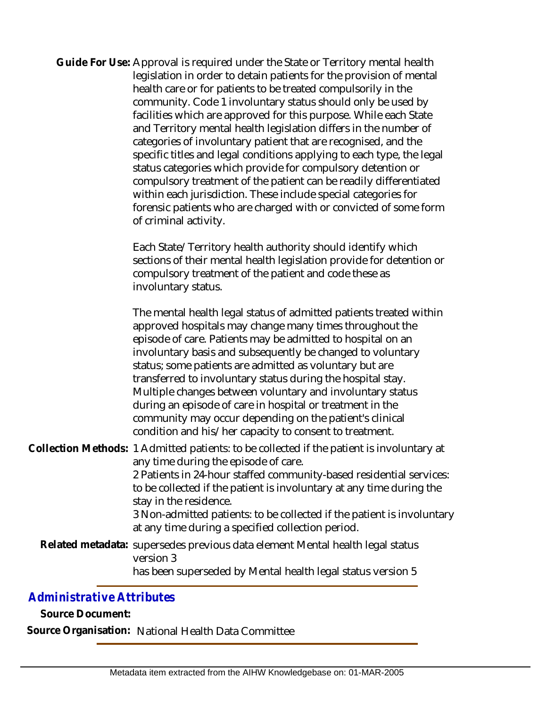| Guide For Use: Approval is required under the State or Territory mental health<br>legislation in order to detain patients for the provision of mental<br>health care or for patients to be treated compulsorily in the<br>community. Code 1 involuntary status should only be used by<br>facilities which are approved for this purpose. While each State<br>and Territory mental health legislation differs in the number of<br>categories of involuntary patient that are recognised, and the<br>specific titles and legal conditions applying to each type, the legal<br>status categories which provide for compulsory detention or<br>compulsory treatment of the patient can be readily differentiated<br>within each jurisdiction. These include special categories for<br>forensic patients who are charged with or convicted of some form<br>of criminal activity. |
|-----------------------------------------------------------------------------------------------------------------------------------------------------------------------------------------------------------------------------------------------------------------------------------------------------------------------------------------------------------------------------------------------------------------------------------------------------------------------------------------------------------------------------------------------------------------------------------------------------------------------------------------------------------------------------------------------------------------------------------------------------------------------------------------------------------------------------------------------------------------------------|
| Each State/Territory health authority should identify which<br>sections of their mental health legislation provide for detention or<br>compulsory treatment of the patient and code these as<br>involuntary status.                                                                                                                                                                                                                                                                                                                                                                                                                                                                                                                                                                                                                                                         |
| The mental health legal status of admitted patients treated within<br>approved hospitals may change many times throughout the<br>episode of care. Patients may be admitted to hospital on an<br>involuntary basis and subsequently be changed to voluntary<br>status; some patients are admitted as voluntary but are<br>transferred to involuntary status during the hospital stay.<br>Multiple changes between voluntary and involuntary status<br>during an episode of care in hospital or treatment in the<br>community may occur depending on the patient's clinical<br>condition and his/her capacity to consent to treatment.                                                                                                                                                                                                                                        |
| Collection Methods: 1 Admitted patients: to be collected if the patient is involuntary at<br>any time during the episode of care.<br>2 Patients in 24-hour staffed community-based residential services:<br>to be collected if the patient is involuntary at any time during the<br>stay in the residence.<br>3 Non-admitted patients: to be collected if the patient is involuntary<br>at any time during a specified collection period.                                                                                                                                                                                                                                                                                                                                                                                                                                   |

Related metadata: supersedes previous data element Mental health legal status version 3 has been superseded by Mental health legal status version 5

## *Administrative Attributes*

**Source Document:**

**Source Organisation:** National Health Data Committee